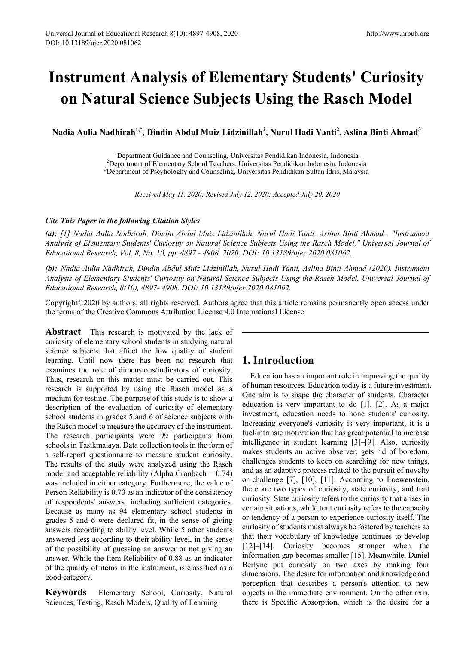# **Instrument Analysis of Elementary Students' Curiosity on Natural Science Subjects Using the Rasch Model**

 $N$ adia Aulia  $N$ adhirah $^{1,*}$ , Dindin Abdul Muiz Lidzinillah $^{2}$ , Nurul Hadi Yanti $^{2}$ , Aslina Binti Ahmad $^{3}$ 

<sup>1</sup>Department Guidance and Counseling, Universitas Pendidikan Indonesia, Indonesia <sup>2</sup>Department of Elementary School Teachers, Universitas Pendidikan Indonesia, Indonesia <sup>3</sup>Department of Pscyhologhy and Counseling, Universitas Pendidikan Sultan Idris, Malaysia

*Received May 11, 2020; Revised July 12, 2020; Accepted July 20, 2020*

### *Cite This Paper in the following Citation Styles*

*(a): [1] Nadia Aulia Nadhirah, Dindin Abdul Muiz Lidzinillah, Nurul Hadi Yanti, Aslina Binti Ahmad , "Instrument Analysis of Elementary Students' Curiosity on Natural Science Subjects Using the Rasch Model," Universal Journal of Educational Research, Vol. 8, No. 10, pp. 4897 - 4908, 2020. DOI: 10.13189/ujer.2020.081062.* 

*(b): Nadia Aulia Nadhirah, Dindin Abdul Muiz Lidzinillah, Nurul Hadi Yanti, Aslina Binti Ahmad (2020). Instrument Analysis of Elementary Students' Curiosity on Natural Science Subjects Using the Rasch Model. Universal Journal of Educational Research, 8(10), 4897- 4908. DOI: 10.13189/ujer.2020.081062.* 

Copyright©2020 by authors, all rights reserved. Authors agree that this article remains permanently open access under the terms of the Creative Commons Attribution License 4.0 International License

**Abstract** This research is motivated by the lack of curiosity of elementary school students in studying natural science subjects that affect the low quality of student learning. Until now there has been no research that examines the role of dimensions/indicators of curiosity. Thus, research on this matter must be carried out. This research is supported by using the Rasch model as a medium for testing. The purpose of this study is to show a description of the evaluation of curiosity of elementary school students in grades 5 and 6 of science subjects with the Rasch model to measure the accuracy of the instrument. The research participants were 99 participants from schools in Tasikmalaya. Data collection tools in the form of a self-report questionnaire to measure student curiosity. The results of the study were analyzed using the Rasch model and acceptable reliability (Alpha Cronbach  $= 0.74$ ) was included in either category. Furthermore, the value of Person Reliability is 0.70 as an indicator of the consistency of respondents' answers, including sufficient categories. Because as many as 94 elementary school students in grades 5 and 6 were declared fit, in the sense of giving answers according to ability level. While 5 other students answered less according to their ability level, in the sense of the possibility of guessing an answer or not giving an answer. While the Item Reliability of 0.88 as an indicator of the quality of items in the instrument, is classified as a good category.

**Keywords** Elementary School, Curiosity, Natural Sciences, Testing, Rasch Models, Quality of Learning

# **1. Introduction**

Education has an important role in improving the quality of human resources. Education today is a future investment. One aim is to shape the character of students. Character education is very important to do [1], [2]. As a major investment, education needs to hone students' curiosity. Increasing everyone's curiosity is very important, it is a fuel/intrinsic motivation that has great potential to increase intelligence in student learning [3]–[9]. Also, curiosity makes students an active observer, gets rid of boredom, challenges students to keep on searching for new things, and as an adaptive process related to the pursuit of novelty or challenge [7], [10], [11]. According to Loewenstein, there are two types of curiosity, state curiosity, and trait curiosity. State curiosity refers to the curiosity that arises in certain situations, while trait curiosity refers to the capacity or tendency of a person to experience curiosity itself. The curiosity of students must always be fostered by teachers so that their vocabulary of knowledge continues to develop [12]–[14]. Curiosity becomes stronger when the information gap becomes smaller [15]. Meanwhile, Daniel Berlyne put curiosity on two axes by making four dimensions. The desire for information and knowledge and perception that describes a person's attention to new objects in the immediate environment. On the other axis, there is Specific Absorption, which is the desire for a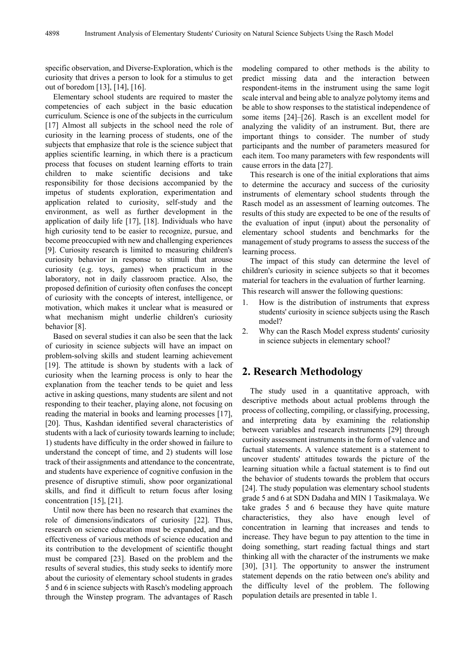specific observation, and Diverse-Exploration, which is the curiosity that drives a person to look for a stimulus to get out of boredom [13], [14], [16].

Elementary school students are required to master the competencies of each subject in the basic education curriculum. Science is one of the subjects in the curriculum [17] Almost all subjects in the school need the role of curiosity in the learning process of students, one of the subjects that emphasize that role is the science subject that applies scientific learning, in which there is a practicum process that focuses on student learning efforts to train children to make scientific decisions and take responsibility for those decisions accompanied by the impetus of students exploration, experimentation and application related to curiosity, self-study and the environment, as well as further development in the application of daily life [17], [18]. Individuals who have high curiosity tend to be easier to recognize, pursue, and become preoccupied with new and challenging experiences [9]. Curiosity research is limited to measuring children's curiosity behavior in response to stimuli that arouse curiosity (e.g. toys, games) when practicum in the laboratory, not in daily classroom practice. Also, the proposed definition of curiosity often confuses the concept of curiosity with the concepts of interest, intelligence, or motivation, which makes it unclear what is measured or what mechanism might underlie children's curiosity behavior [8].

Based on several studies it can also be seen that the lack of curiosity in science subjects will have an impact on problem-solving skills and student learning achievement [19]. The attitude is shown by students with a lack of curiosity when the learning process is only to hear the explanation from the teacher tends to be quiet and less active in asking questions, many students are silent and not responding to their teacher, playing alone, not focusing on reading the material in books and learning processes [17], [20]. Thus, Kashdan identified several characteristics of students with a lack of curiosity towards learning to include; 1) students have difficulty in the order showed in failure to understand the concept of time, and 2) students will lose track of their assignments and attendance to the concentrate, and students have experience of cognitive confusion in the presence of disruptive stimuli, show poor organizational skills, and find it difficult to return focus after losing concentration [15], [21].

Until now there has been no research that examines the role of dimensions/indicators of curiosity [22]. Thus, research on science education must be expanded, and the effectiveness of various methods of science education and its contribution to the development of scientific thought must be compared [23]. Based on the problem and the results of several studies, this study seeks to identify more about the curiosity of elementary school students in grades 5 and 6 in science subjects with Rasch's modeling approach through the Winstep program. The advantages of Rasch

modeling compared to other methods is the ability to predict missing data and the interaction between respondent-items in the instrument using the same logit scale interval and being able to analyze polytomy items and be able to show responses to the statistical independence of some items [24]–[26]. Rasch is an excellent model for analyzing the validity of an instrument. But, there are important things to consider. The number of study participants and the number of parameters measured for each item. Too many parameters with few respondents will cause errors in the data [27].

This research is one of the initial explorations that aims to determine the accuracy and success of the curiosity instruments of elementary school students through the Rasch model as an assessment of learning outcomes. The results of this study are expected to be one of the results of the evaluation of input (input) about the personality of elementary school students and benchmarks for the management of study programs to assess the success of the learning process.

The impact of this study can determine the level of children's curiosity in science subjects so that it becomes material for teachers in the evaluation of further learning.

This research will answer the following questions:

- 1. How is the distribution of instruments that express students' curiosity in science subjects using the Rasch model?
- 2. Why can the Rasch Model express students' curiosity in science subjects in elementary school?

# **2. Research Methodology**

The study used in a quantitative approach, with descriptive methods about actual problems through the process of collecting, compiling, or classifying, processing, and interpreting data by examining the relationship between variables and research instruments [29] through curiosity assessment instruments in the form of valence and factual statements. A valence statement is a statement to uncover students' attitudes towards the picture of the learning situation while a factual statement is to find out the behavior of students towards the problem that occurs [24]. The study population was elementary school students grade 5 and 6 at SDN Dadaha and MIN 1 Tasikmalaya. We take grades 5 and 6 because they have quite mature characteristics, they also have enough level of concentration in learning that increases and tends to increase. They have begun to pay attention to the time in doing something, start reading factual things and start thinking all with the character of the instruments we make [30], [31]. The opportunity to answer the instrument statement depends on the ratio between one's ability and the difficulty level of the problem. The following population details are presented in table 1.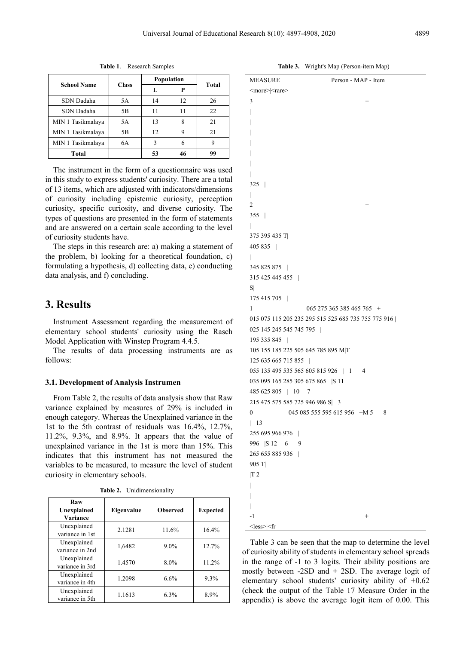| <b>School Name</b> | <b>Class</b> | Population | Total |    |
|--------------------|--------------|------------|-------|----|
|                    |              | L          | P     |    |
| SDN Dadaha         | 5A           | 14         | 12    | 26 |
| SDN Dadaha         | 5B           | 11         | 11    | 22 |
| MIN 1 Tasikmalaya  | 5A           | 13         | 8     | 21 |
| MIN 1 Tasikmalaya  | 5Β           | 12         |       | 21 |
| MIN 1 Tasikmalaya  | 6A           | ς          |       |    |
| Total              |              | 53         | 46    | 99 |

**Table 1**. Research Samples

The instrument in the form of a questionnaire was used in this study to express students' curiosity. There are a total of 13 items, which are adjusted with indicators/dimensions of curiosity including epistemic curiosity, perception curiosity, specific curiosity, and diverse curiosity. The types of questions are presented in the form of statements and are answered on a certain scale according to the level of curiosity students have.

The steps in this research are: a) making a statement of the problem, b) looking for a theoretical foundation, c) formulating a hypothesis, d) collecting data, e) conducting data analysis, and f) concluding.

# **3. Results**

Instrument Assessment regarding the measurement of elementary school students' curiosity using the Rasch Model Application with Winstep Program 4.4.5.

The results of data processing instruments are as follows:

### **3.1. Development of Analysis Instrumen**

From Table 2, the results of data analysis show that Raw variance explained by measures of 29% is included in enough category. Whereas the Unexplained variance in the 1st to the 5th contrast of residuals was 16.4%, 12.7%, 11.2%, 9.3%, and 8.9%. It appears that the value of unexplained variance in the 1st is more than 15%. This indicates that this instrument has not measured the variables to be measured, to measure the level of student curiosity in elementary schools.

| Raw<br>Unexplained<br>Variance | Eigenvalue | <b>Observed</b> | <b>Expected</b> |
|--------------------------------|------------|-----------------|-----------------|
| Unexplained<br>variance in 1st | 2.1281     | 11.6%           | 16.4%           |
| Unexplained<br>variance in 2nd | 1,6482     | $9.0\%$         | 12.7%           |
| Unexplained<br>variance in 3rd | 1.4570     | 8.0%            | 11.2%           |
| Unexplained<br>variance in 4th | 1.2098     | 6.6%            | 9.3%            |
| Unexplained<br>variance in 5th | 1.1613     | 6.3%            | 8.9%            |

**Table 2.** Unidimensionality

**Table 3.** Wright's Map (Person-item Map)

| <b>MEASURE</b>                      | Person - MAP - Item                                 |
|-------------------------------------|-----------------------------------------------------|
| <more> <rare></rare></more>         |                                                     |
| 3                                   | $^{+}$                                              |
| I                                   |                                                     |
|                                     |                                                     |
|                                     |                                                     |
|                                     |                                                     |
|                                     |                                                     |
|                                     |                                                     |
| I                                   |                                                     |
| $325$                               |                                                     |
| L                                   |                                                     |
| $\mathfrak{2}$                      | $\! + \!\!\!\!$                                     |
| $355$                               |                                                     |
| L                                   |                                                     |
| 375 395 435 T                       |                                                     |
| 405 835                             |                                                     |
| Ш                                   |                                                     |
| 345 825 875                         |                                                     |
| 315 425 445 455                     |                                                     |
| $S \vert$                           |                                                     |
| 175 415 705                         |                                                     |
| 1                                   | 065 275 365 385 465 765 +                           |
|                                     | 015 075 115 205 235 295 515 525 685 735 755 775 916 |
| 025 145 245 545 745 795             |                                                     |
| 195 335 845                         |                                                     |
| 105 155 185 225 505 645 785 895 M T |                                                     |
| 125 635 665 715 855                 |                                                     |
| 055 135 495 535 565 605 815 926   1 | $\overline{4}$                                      |
| 035 095 165 285 305 675 865 S 11    |                                                     |
| 485 625 805   10 7                  |                                                     |
| 215 475 575 585 725 946 986 S  3    |                                                     |
| 0                                   | 045 085 555 595 615 956 + M 5 8                     |
| $\vert$ 13                          |                                                     |
| 255 695 966 976                     |                                                     |
| 996   S 12 6<br>9                   |                                                     |
| 265 655 885 936                     |                                                     |
| 905 T                               |                                                     |
| T2                                  |                                                     |
|                                     |                                                     |
|                                     |                                                     |
|                                     |                                                     |
| $-1$                                | $^{+}$                                              |
| $<$ less> $ <$ fr                   |                                                     |

Table 3 can be seen that the map to determine the level of curiosity ability of students in elementary school spreads in the range of -1 to 3 logits. Their ability positions are mostly between -2SD and + 2SD. The average logit of elementary school students' curiosity ability of +0.62 (check the output of the Table 17 Measure Order in the appendix) is above the average logit item of 0.00. This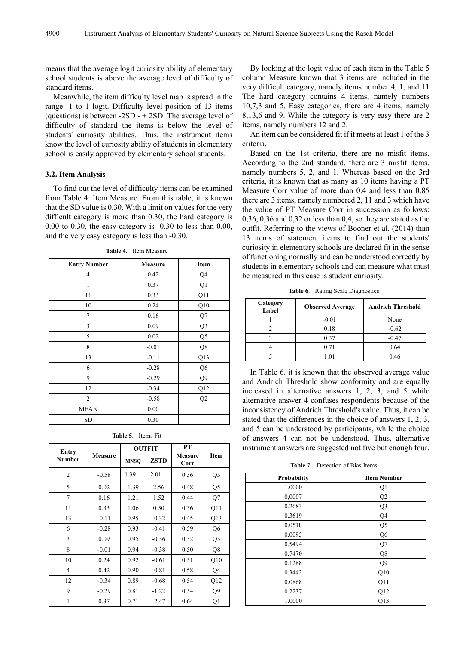means that the average logit curiosity ability of elementary school students is above the average level of difficulty of standard items.

Meanwhile, the item difficulty level map is spread in the range -1 to 1 logit. Difficulty level position of 13 items (questions) is between  $-2SD - + 2SD$ . The average level of difficulty of standard the items is below the level of students' curiosity abilities. Thus, the instrument items know the level of curiosity ability of students in elementary school is easily approved by elementary school students.

### **3.2. Item Analysis**

To find out the level of difficulty items can be examined from Table 4: Item Measure. From this table, it is known that the SD value is 0.30. With a limit on values for the very difficult category is more than 0.30, the hard category is 0.00 to 0.30, the easy category is -0.30 to less than 0.00, and the very easy category is less than -0.30.

| <b>Entry Number</b> | Measure | Item           |
|---------------------|---------|----------------|
| $\overline{4}$      | 0.42    | Q4             |
| 1                   | 0.37    | Q1             |
| 11                  | 0.33    | Q11            |
| 10                  | 0.24    | Q10            |
| $\overline{7}$      | 0.16    | Q7             |
| 3                   | 0.09    | Q <sub>3</sub> |
| 5                   | 0.02    | Q5             |
| 8                   | $-0.01$ | Q8             |
| 13                  | $-0.11$ | Q13            |
| 6                   | $-0.28$ | Q6             |
| 9                   | $-0.29$ | Q <sub>9</sub> |
| 12                  | $-0.34$ | Q12            |
| 2                   | $-0.58$ | Q2             |
| <b>MEAN</b>         | 0.00    |                |
| SD                  | 0.30    |                |

**Table 4.** Item Measure

| Entry          |                |                            | <b>OUTFIT</b> | PT              |                |  |
|----------------|----------------|----------------------------|---------------|-----------------|----------------|--|
| <b>Number</b>  | <b>Measure</b> | <b>ZSTD</b><br><b>MNSO</b> |               | Measure<br>Corr | Item           |  |
| $\overline{2}$ | $-0.58$        | 1.39                       | 2.01          | 0.36            | Q <sub>5</sub> |  |
| 5              | 0.02           | 1.39                       | 2.56          | 0.48            | Q <sub>5</sub> |  |
| 7              | 0.16           | 1.21                       | 1.52          | 0.44            | Q7             |  |
| 11             | 0.33           | 1.06                       | 0.50          | 0.36            | Q11            |  |
| 13             | $-0.11$        | 0.95                       | $-0.32$       | 0.45            | Q13            |  |
| 6              | $-0.28$        | 0.93                       | $-0.41$       | 0.59            | Q <sub>6</sub> |  |
| 3              | 0.09           | 0.95                       | $-0.36$       | 0.32            | Q3             |  |
| 8              | $-0.01$        | 0.94                       | $-0.38$       | 0.50            | Q8             |  |
| 10             | 0.24           | 0.92                       | $-0.61$       | 0.51            | Q10            |  |
| 4              | 0.42           | 0.90                       | $-0.81$       | 0.58            | Q4             |  |
| 12             | $-0.34$        | 0.89                       | $-0.68$       | 0.54            | Q12            |  |
| 9              | $-0.29$        | 0.81                       | $-1.22$       | 0.54            | Q <sub>9</sub> |  |
| 1              | 0.37           | 0.71                       | $-2.47$       | 0.64            | Q <sub>1</sub> |  |

By looking at the logit value of each item in the Table 5 column Measure known that 3 items are included in the very difficult category, namely items number 4, 1, and 11 The hard category contains 4 items, namely numbers 10,7,3 and 5. Easy categories, there are 4 items, namely 8,13,6 and 9. While the category is very easy there are 2 items, namely numbers 12 and 2.

An item can be considered fit if it meets at least 1 of the 3 criteria.

Based on the 1st criteria, there are no misfit items. According to the 2nd standard, there are 3 misfit items, namely numbers 5, 2, and 1. Whereas based on the 3rd criteria, it is known that as many as 10 items having a PT Measure Corr value of more than 0.4 and less than 0.85 there are 3 items, namely numbered 2, 11 and 3 which have the value of PT Measure Corr in succession as follows: 0,36, 0,36 and 0,32 or less than 0,4, so they are stated as the outfit. Referring to the views of Booner et al. (2014) than 13 items of statement items to find out the students' curiosity in elementary schools are declared fit in the sense of functioning normally and can be understood correctly by students in elementary schools and can measure what must be measured in this case is student curiosity.

**Table 6**. Rating Scale Diagnostics

| Category<br>Label | <b>Observed Average</b> | <b>Andrich Threshold</b> |
|-------------------|-------------------------|--------------------------|
|                   | $-0.01$                 | None                     |
|                   | 0.18                    | $-0.62$                  |
|                   | 0.37                    | $-0.47$                  |
|                   | 0.71                    | 0.64                     |
|                   | (0)                     | 0.46                     |

In Table 6. it is known that the observed average value and Andrich Threshold show conformity and are equally increased in alternative answers 1, 2, 3, and 5 while alternative answer 4 confuses respondents because of the inconsistency of Andrich Threshold's value. Thus, it can be stated that the differences in the choice of answers 1, 2, 3, and 5 can be understood by participants, while the choice of answers 4 can not be understood. Thus, alternative instrument answers are suggested not five but enough four.

**Table 7**. Detection of Bias Items

| <b>Probability</b> | <b>Item Number</b> |
|--------------------|--------------------|
| 1.0000             | Q1                 |
| 0,0007             | Q2                 |
| 0.2683             | Q <sub>3</sub>     |
| 0.3619             | Q4                 |
| 0.0518             | Q <sub>5</sub>     |
| 0.0095             | Q <sub>6</sub>     |
| 0.5494             | Q7                 |
| 0.7470             | Q8                 |
| 0.1288             | Q <sub>9</sub>     |
| 0.3443             | Q10                |
| 0.0868             | Q11                |
| 0.2237             | Q12                |
| 1.0000             | Q13                |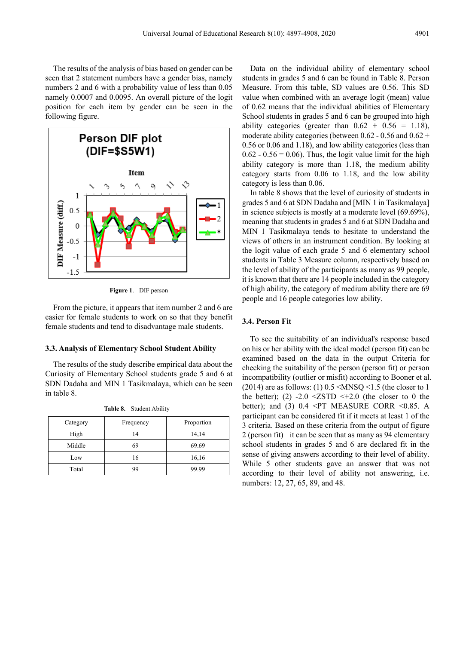The results of the analysis of bias based on gender can be seen that 2 statement numbers have a gender bias, namely numbers 2 and 6 with a probability value of less than 0.05 namely 0.0007 and 0.0095. An overall picture of the logit position for each item by gender can be seen in the following figure.



**Figure 1**. DIF person

From the picture, it appears that item number 2 and 6 are easier for female students to work on so that they benefit female students and tend to disadvantage male students.

### **3.3. Analysis of Elementary School Student Ability**

The results of the study describe empirical data about the Curiosity of Elementary School students grade 5 and 6 at SDN Dadaha and MIN 1 Tasikmalaya, which can be seen in table 8.

| Category | Frequency | Proportion |
|----------|-----------|------------|
| High     | 14        | 14,14      |
| Middle   | 69        | 69.69      |
| Low      | 16        | 16,16      |
| Total    | 99        | 99.99      |

**Table 8.** Student Ability

Data on the individual ability of elementary school students in grades 5 and 6 can be found in Table 8. Person Measure. From this table, SD values are 0.56. This SD value when combined with an average logit (mean) value of 0.62 means that the individual abilities of Elementary School students in grades 5 and 6 can be grouped into high ability categories (greater than  $0.62 + 0.56 = 1.18$ ), moderate ability categories (between  $0.62 - 0.56$  and  $0.62 +$ 0.56 or 0.06 and 1.18), and low ability categories (less than  $0.62 - 0.56 = 0.06$ . Thus, the logit value limit for the high ability category is more than 1.18, the medium ability category starts from 0.06 to 1.18, and the low ability category is less than 0.06.

In table 8 shows that the level of curiosity of students in grades 5 and 6 at SDN Dadaha and [MIN 1 in Tasikmalaya] in science subjects is mostly at a moderate level (69.69%), meaning that students in grades 5 and 6 at SDN Dadaha and MIN 1 Tasikmalaya tends to hesitate to understand the views of others in an instrument condition. By looking at the logit value of each grade 5 and 6 elementary school students in Table 3 Measure column, respectively based on the level of ability of the participants as many as 99 people, it is known that there are 14 people included in the category of high ability, the category of medium ability there are 69 people and 16 people categories low ability.

### **3.4. Person Fit**

To see the suitability of an individual's response based on his or her ability with the ideal model (person fit) can be examined based on the data in the output Criteria for checking the suitability of the person (person fit) or person incompatibility (outlier or misfit) according to Booner et al. (2014) are as follows: (1)  $0.5 \leq MNSQ \leq 1.5$  (the closer to 1 the better); (2) -2.0  $\leq$  ZSTD  $\leq$ +2.0 (the closer to 0 the better); and (3)  $0.4 \leq PT$  MEASURE CORR  $\leq 0.85$ . A participant can be considered fit if it meets at least 1 of the 3 criteria. Based on these criteria from the output of figure 2 (person fit) it can be seen that as many as 94 elementary school students in grades 5 and 6 are declared fit in the sense of giving answers according to their level of ability. While 5 other students gave an answer that was not according to their level of ability not answering, i.e. numbers: 12, 27, 65, 89, and 48.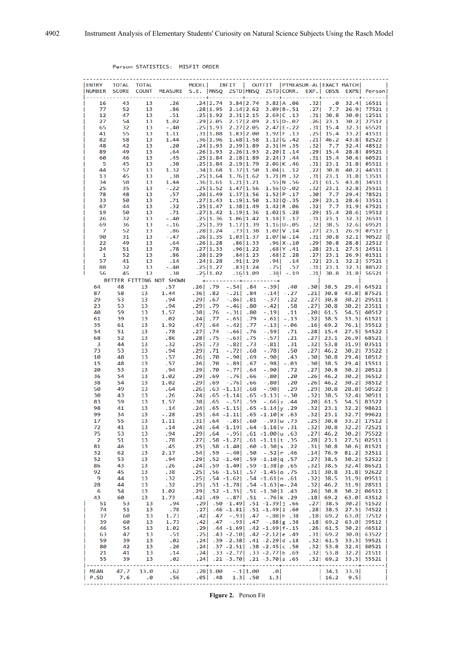### Person STATISTICS: MISFIT ORDER

| <b>ENTRY</b><br><b>NUMBER</b> | <b>TOTAL</b><br><b>SCORE</b> | <b>TOTAL</b><br><b>COUNT</b> | MEASURE S.E. MNSQ        | MODEL      |                      | INFIT                    | $\mathbf{L}$<br>ZSTD MNSO | OUTFIT   PTMEASUR-AL   EXACT MATCH             | ZSTD CORR.               |           | EXP.   OBS%          |        | EXP%  Person             |    |
|-------------------------------|------------------------------|------------------------------|--------------------------|------------|----------------------|--------------------------|---------------------------|------------------------------------------------|--------------------------|-----------|----------------------|--------|--------------------------|----|
| 16                            | 43                           | 13                           | .26                      |            | .24 2.74             |                          | 3.84 2.74                 |                                                | 3.82 A .06               | .32       | .0                   |        | – – I<br>32.4 16511      |    |
| 77                            | 52                           | 13                           | .86                      |            | .28 1.95             |                          | 2.14 2.62                 |                                                | $3.09$   B - . 51        | .271      | 7.7                  | 26.9   | 77521                    |    |
| 12                            | 47                           | 13                           | .51                      |            | .25 1.92             |                          | 2.31 2.15                 |                                                | $2.69$ C . 13            | .31       | 30.8                 |        | $30.0$ 12511             |    |
| 27                            | 54                           | 13                           | 1.02                     |            | .29 2.05             |                          | 2.17 2.09                 |                                                | $2.15 D-.07$             |           | $.26$ 23.1           | 30.2   | 27512                    |    |
| 65                            | 32                           | 13                           | $-.40$                   |            | .25 1.93             |                          | 2.27 2.05                 |                                                | $2.47$   E - .22         | .311      | 15.4                 | 32.31  | $65521$                  |    |
| 41                            | 55                           | 13                           | 1.11                     |            | .31 1.88             |                          | 1.83 2.00                 |                                                | 1.92 F .13               | .25       | 15.4                 |        | 33.2 41511               |    |
| 82                            | 58                           | 13                           | 1.44                     |            | .36 1.96             |                          | 1.68 1.58                 |                                                | 1.12 G.42                | .21       | 46.2                 | 43.8   | 82522                    |    |
| 48                            | 42                           | 13                           | .20                      |            | .24 1.93             |                          | 2.39 1.89                 |                                                | $2.31$  H .35            | .32       | 7.7                  |        | 32.4 48512               |    |
| 89                            | 49                           | 13                           | .64                      |            |                      |                          |                           |                                                | 2.20 I.14                |           | $.29$ 15.4           |        |                          |    |
| 60                            | 46                           | 13                           | .45                      |            | .26 1.93<br>.25 1.84 |                          | 2.26 1.93<br>2.18 1.89    |                                                | $2.24$ J.44              | .31       | 15.4                 |        | 28.8 89521<br>30.6 60521 |    |
| 5                             | 45                           | 13                           | .38                      |            | .25 1.84             |                          | 2.19 1.79                 |                                                | $2.06$ K .46             | .31       | 23.1                 |        | 31.8 05511               |    |
| 44                            | 57                           | 13                           | 1.32                     |            |                      |                          |                           |                                                |                          |           |                      |        |                          |    |
|                               |                              |                              | .38                      |            | .34 1.68             |                          | 1.37 1.50                 |                                                | 1.04 L.12                | .22       | 30.8<br>$.31$   23.1 |        | 40.2 44511               |    |
| 13                            | 45                           | 13                           | 1.44                     |            | .25 1.64             |                          | 1.76 1.62                 |                                                | $1.71$ M .32             | .21       |                      | 43.8   | $31.8$ 13511             |    |
| 34                            | 58                           | 13                           |                          |            | .36 1.61<br>.25 1.52 |                          | 1.21 1.21                 |                                                | .55 N.56<br>$1.56 0-.02$ | .321      | 61.5                 |        | 34511                    |    |
| 25<br>78                      | 35<br>48                     | 13<br>13                     | $-.22$                   |            |                      |                          | 1.47 1.56                 |                                                |                          |           | 23.1                 | 32.8   | $25511$                  |    |
|                               |                              |                              | .57                      |            | .26 1.49             |                          | 1.37 1.56                 |                                                | 1.52 P.17                | .30       | 7.7                  |        | 29.4 78521               |    |
| 33                            | 50                           | 13                           | .71                      |            | .27 1.43             |                          | 1.19 1.50                 |                                                | $1.32$   Q - .35         | .29       | 23.1                 | 28.6   | $33511$                  |    |
| 67                            | 44                           | 13                           | .32                      |            | .25 1.47             |                          | 1.38 1.49                 |                                                | $1.42 R$ .06             | .32       | 7.7                  |        | 31.9 67521               |    |
| 19                            | 50                           | 13                           | .71                      |            | .27 1.42             |                          | 1.19 1.36                 |                                                | $1.02$   S . 28          |           | $.29$   15.4         |        | 28.6 19512               |    |
| 26                            | 32                           | 13                           | $-.40$                   |            | .25 1.36             |                          | 1.06 1.42                 |                                                | $1.18$ T.17              |           | $.31 \,   \, 23.1$   | 32.31  | $26511$                  |    |
| 69                            | 36                           | 13                           | $-.16$                   |            | .25 1.39             |                          | 1.17 1.39                 |                                                | $1.16 U - .05$           | .32       | 38.5                 |        | $32.6$ 69521             |    |
| 7                             | 52                           | 13                           | .86                      |            | .28 1.24             |                          | .73 1.38                  |                                                | 1.02 V.14                | .27       | 23.1                 |        | 26.9 07512               | -1 |
| 90                            | 31                           | 13                           | $-.47$                   |            | .26 1.35             |                          | 1.03 1.37                 |                                                | $1.07$ $W - 14$          | .31       | 30.8                 |        | 32.1 90522               |    |
| 22                            | 49                           | 13                           | .64                      |            | .26 1.28             |                          | .86 1.33                  |                                                | $.96 X-.10$              |           | $.29$ 30.8           |        | 28.8 22512               |    |
| 24                            | 51                           | 13                           | .78                      |            | .27 1.33             |                          | .96 1.22                  |                                                | .68 Y.41                 |           | $.28$ 23.1           | 27.5   | 24511                    |    |
| 1                             | 52                           | 13                           | .86                      |            | .28 1.29             |                          | .84 1.23                  |                                                | $.68$  Z.28              | .27       | 23.1                 |        | 26.9 01511               |    |
| 57                            | 41                           | 13                           | .14                      |            | .24 1.28             |                          | .91 1.29                  | .94                                            | .14                      |           | $.32$   23.1         |        | 32.2 57521               |    |
| 88                            | 32                           | 13                           | $-.40$                   |            | .25 1.27             |                          | .83 1.24                  | .75                                            | .57                      | .31       | 23.1                 | 32.3   | 88522                    |    |
| 56                            | 45                           | 13                           | .38                      |            | .2511.02             |                          | .16 1.09                  |                                                | $.381-.19$               |           | $.31$ 30.8           |        | 31.8 56521               |    |
|                               |                              |                              | BETTER FITTING NOT SHOWN |            |                      | $+ - - - - - - - - +$    |                           | ---------+                                     |                          |           |                      |        |                          |    |
| 64                            | 48                           | 13                           | .57                      | $.26$ . 79 |                      | $-.54$ .84               |                           | $-.39$                                         | .40                      |           | $.30$   38.5         |        | 29.4 64521               |    |
| 87                            | 58                           | 13                           | 1.44                     | $.36$ . 82 |                      | $-.21$ .84               |                           | $-.14$ ] $-.27$                                |                          | .21       | 30.8                 |        | 43.8 87521               |    |
| 29                            | 53                           | 13                           | .94                      | . 29       | .67                  | $-.86$ . 81              |                           | $-.37$                                         | .22                      | .27       | 30.8                 |        | 30.2 29511               | п  |
| 23                            | 53                           | 13                           | .94                      | .29        | .79                  | $-.46$ .80               |                           | $-.421$                                        | .58                      | .27       | 30.8                 |        | 30.2 23511               |    |
| 40                            | 59                           | 13                           | 1.57                     | .38        | .76                  | $-.31$ .80               |                           | $-.19$                                         | .11                      |           | .20  61.5            |        | 54.5 40512               |    |
| 61                            | 39                           | 13                           | .02                      | .24        | .77                  | $-.65$                   | . 79                      | $-.61$                                         | $-.13$                   |           | $.32$ 38.5           |        | 33.3 61521<br>- 1        |    |
| 35                            | 61                           | 13                           | 1.92                     | .47        | .64                  | $-.421$                  | .77                       | $-13$ $-06$                                    |                          |           | $.16$ 69.2           | 76.1   | $35512$                  |    |
| 54                            |                              |                              | .78                      | .271       | .74                  | $-.66$ .76               |                           | $-.59$                                         | .71                      |           |                      |        |                          |    |
|                               | 51                           | 13                           |                          |            |                      |                          |                           |                                                |                          |           | $.28$ 15.4           |        | 27.5 54522               |    |
| 68                            | 52                           | 13                           | .86                      | .281       | .75                  | $-.63$                   | .75                       | $-.57$                                         | .21                      |           | $.27$ 23.1           |        | 26.9 68521<br>- 1        |    |
| 3                             | 44                           | 13                           | .32                      | .25        | .73                  | $-.82$                   | .73                       | $-.81$                                         | .31                      |           | $.32$ 53.8           |        | 31.9 03511               |    |
| 73                            | 53                           | 13                           | .94                      | .29        | .71                  | $-.72$ .68               |                           | $-.78$                                         | .50                      |           | $.27$   46.2         |        | 30.2 73522               |    |
| 10                            | 48                           | 13                           | .57                      | .26        | .70                  | $-.90 $                  | .69                       | $-.90 $                                        | .43                      |           | .30 30.8             |        | 29.4 10512               | п  |
| 15                            | 48                           | 13                           | .57                      | .26        | .70                  | $-.89$ $ $               | .67                       | $-.98$ ] $-.03$                                |                          |           | $.30$ 38.5           |        | 29.4 15511               |    |
| 20                            | 53                           | 13                           | .94                      | .29        | .70                  | $-.77$ . 64              |                           | $-.90 $                                        | .72                      |           | $.27$   30.8         | 30.21  | 20512                    |    |
| 36                            | 54                           | 13                           | 1.02                     | .291       | .69                  | $-.76$                   | .66                       | $-.80 $                                        | .20                      |           | $.26$ 46.2           |        | 30.2 36512               | п  |
| 38                            | 54                           | 13                           | 1.02                     | .291       | .69                  | $-.76$                   | .66                       | $-.80$                                         | .20                      |           | $.26$ 46.2           | 30.2   | 38512                    |    |
| 50                            | 49                           | 13                           | .64                      |            |                      | $.26$ $.63$ $-1.13$      | .68                       | $-.901$                                        | .29                      |           | $.29$   30.8         |        | 28.8 50522               |    |
| 30                            | 43                           | 13                           | .26                      |            |                      | $.24$ $.65 - 1.14$       |                           | $.65 - 1.13$ -.30                              |                          |           | $.32$ 38.5           |        | 32.4 30511               |    |
| 83                            | 59                           | 13                           | 1.57                     | .38        | .65                  | $-.57$                   | .59                       | $-.66 z$ .44                                   |                          |           | .20  61.5            |        | 54.5 83522               |    |
| 98                            | 41                           | 13                           | .14                      |            |                      |                          |                           | $.24$ , $.65 -1.15$ , $.65 -1.14$ , $.29$      |                          |           | $.32$   23.1         | 32.2   | 98621                    |    |
| 99                            | 34                           | 13                           | $-.28$                   |            |                      |                          |                           | $.25$   $.64 - 1.11$   $.65 - 1.10$   x $.63$  |                          |           | $.32$ 23.1           | 32.7   | $99621$                  |    |
| 17                            | 55                           | 13                           | 1.11                     | .31        | .64                  | $-.85$ .60               |                           | $-.93 w.73$                                    |                          |           | $.25$   30.8         | 33.2   | 17512                    |    |
| 72                            | 41                           | 13                           | .14                      | .24        |                      |                          |                           | $.64 - 1.19$ $.64 - 1.18$ v $.31$              |                          |           | $.32$ 30.8           | 32.2   | 72521                    |    |
| 75                            | 53                           | 13                           | .94                      | $.29$ . 64 |                      |                          |                           | $-95$ . $-61 - 1.00$ u. 63                     |                          |           |                      |        | .27 46.2 30.2 75522      |    |
| 2                             | 51                           | 13                           | .78                      |            |                      |                          |                           | .27   .58 -1.27   .61 -1.11   t.35             |                          |           | $.28$ 23.1           |        | 27.5 02511               |    |
|                               |                              |                              |                          |            |                      |                          |                           |                                                |                          |           |                      |        |                          |    |
| 81                            | 46                           | 13                           | .45<br>2.17              |            |                      |                          |                           | $.25$ , $.58 - 1.40$ , $.60 - 1.30$ s. 22      |                          |           | $.31$   30.8         |        | 30.6 81521               |    |
| 32                            | 62                           | 13                           |                          | .54 .59    |                      |                          |                           | $-40$ $-50$ $-52$ $r$ $-46$                    |                          |           | $.14$ 76.9           |        | 81.2 32511               |    |
| 52                            | 53                           | 13                           | .94                      |            |                      |                          |                           | 57. p 1.10. 59.  1.40. 59.  29.                |                          |           | $.27$   38.5         |        | 30.2 52522               |    |
| 86                            | 43                           | 13                           | .26                      |            |                      |                          |                           | .24 .59 -1.40 .59 -1.38 p.65                   |                          |           | $.32$ 38.5           |        | $32.4$ 86521             |    |
| 92                            | 45                           | 13                           | .38                      |            |                      |                          |                           | .25 . 0 .25 .57 .1.51 .57 .1.45 .75            |                          |           | $.31$ 30.8           |        | $31.8$ 92622             |    |
| -9                            | 44                           | 13                           | .32                      |            |                      |                          |                           | .25 .54 -1.62 .54 -1.61 n .61                  |                          |           | $.32$ 38.5           |        | 31.9 09511               |    |
| 28                            | 44                           | 13                           | .32                      |            |                      |                          |                           | .25 $.51 - 1.78$ .54 $-1.63$ $\text{m}$ .24    |                          |           | $.32$ 46.2           |        | 31.9 28511               |    |
| 6                             | 54                           | 13                           | 1.02                     |            |                      |                          |                           | .29 .52 .1.35 .51 .51 .30 1.33                 |                          |           | $.26$ 30.8           |        | 30.2 06512               | ı  |
| 43                            | 60                           | 13                           | 1.73                     | .42 .49    |                      | $-.87$   .51             |                           | $-.76$  k. 29                                  |                          |           | $.18$   69.2         |        | 63.0  43512              |    |
| 51                            | 53                           | 13                           | .94                      |            |                      |                          |                           | .29 .50 $-1.49$ .51 $-1.39$ j .66              |                          |           | $.27$   38.5         |        | $30.2$ 51522             |    |
| 74                            | 51                           | 13                           | .78                      |            |                      |                          |                           | .27 .46 -1.81 .51 -1.49 i                      |                          |           | $.28$   38.5         |        | 27.5 74522               |    |
| 37                            | 60                           | 13                           | 1.73                     |            | $.42$ $.47$          |                          | $-.93$ . 47               |                                                | $-.88 h$ .38             |           | $.18$ 69.2           |        | $63.0$ 37512             |    |
| 39                            | 60                           | 13                           | 1.73                     |            |                      | $.42$ $.47$ $-.93$ $.47$ |                           |                                                | $-.88$ g $.38$           |           | $.18$ 69.2           |        | $63.0$ 39512             |    |
| 46                            | 54                           | 13                           | 1.02                     |            |                      |                          |                           | $.29$   $.44 - 1.69$   $.42 - 1.69$   $f - 15$ |                          |           | $.26$ 61.5           |        | 30.2 46512               | ı  |
| 63                            | 47                           | 13                           | .51                      |            |                      |                          |                           | $.25$   $.43 - 2.10$   $.42 - 2.12$  e.49      |                          |           | $.31$ 69.2           |        | 30.0 63522               | ı  |
| 59                            | 39                           | 13                           | .02                      |            |                      |                          |                           | .24 .39 -2.38 .41 -2.29 d .39                  |                          |           | $.32$ 61.5           |        | 33.3 59521               | -1 |
| 80                            | 42                           | 13                           | .20                      |            |                      |                          |                           | $.24$ $.37 - 2.51$ $.38 - 2.45$ c $.50$        |                          |           | $.32$ 53.8           |        | 32.4 80521               |    |
| 21                            | 41                           | 13                           | .14                      |            |                      |                          |                           | .24 .33 -2.77 .33 -2.77 b .69                  |                          |           | $.32$ 53.8           |        | $32.2$ 21511             |    |
| 55                            | 39                           |                              | .02                      |            |                      |                          |                           | .24 .21 -3.70 .21 -3.70 a .65                  |                          |           | $.32$ 69.2           |        |                          |    |
|                               |                              | 13                           |                          |            |                      |                          |                           | ---+----------+---------+                      |                          | للمساسمات | <u>.</u>             | ------ | 33.3 55521               |    |
|                               |                              |                              | .62                      |            | .28 1.00             |                          | $-.1$  1.00               | .0                                             |                          |           | 34.1                 | 33.9   |                          |    |
| MEAN<br>P.SD                  | 47.7<br>7.6                  | 13.0                         | .56                      |            |                      |                          |                           |                                                |                          |           |                      |        |                          |    |
|                               |                              | -0                           |                          |            | $.05$ . 48           |                          | $1.3$ .50                 | 1.3                                            |                          |           | 16.2                 | 9.5    |                          | ı  |

**Figure 2.** Person Fit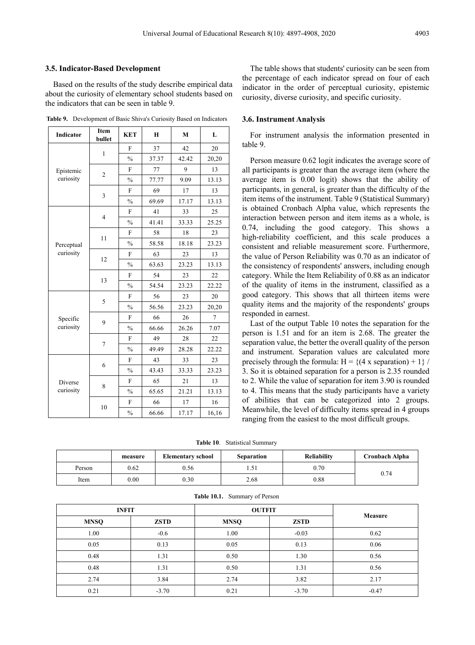### **3.5. Indicator-Based Development**

Based on the results of the study describe empirical data about the curiosity of elementary school students based on the indicators that can be seen in table 9.

|  | <b>Table 9.</b> Development of Basic Shiva's Curiosity Based on Indicators |  |  |  |  |  |
|--|----------------------------------------------------------------------------|--|--|--|--|--|
|--|----------------------------------------------------------------------------|--|--|--|--|--|

| Indicator  | Item<br>bullet | <b>KET</b>     | $\bf{H}$ | M     | L              |
|------------|----------------|----------------|----------|-------|----------------|
|            | $\mathbf{1}$   | F              | 37       | 42    | 20             |
|            |                | $\%$           | 37.37    | 42.42 | 20,20          |
| Epistemic  | $\overline{2}$ | F              | 77       | 9     | 13             |
| curiosity  |                | $\frac{0}{0}$  | 77.77    | 9.09  | 13.13          |
|            | 3              | F              | 69       | 17    | 13             |
|            |                | $\frac{0}{0}$  | 69.69    | 17.17 | 13.13          |
|            | $\overline{4}$ | $\overline{F}$ | 41       | 33    | 25             |
|            |                | $\frac{0}{0}$  | 41.41    | 33.33 | 25.25          |
|            | 11             | F              | 58       | 18    | 23             |
| Perceptual |                | $\frac{0}{0}$  | 58.58    | 18.18 | 23.23          |
| curiosity  | 12             | $\mathbf{F}$   | 63       | 23    | 13             |
|            |                | $\frac{0}{0}$  | 63.63    | 23.23 | 13.13          |
|            | 13             | F              | 54       | 23    | 22             |
|            |                | $\frac{0}{0}$  | 54.54    | 23.23 | 22.22          |
|            | 5              | F              | 56       | 23    | 20             |
|            |                | $\frac{0}{0}$  | 56.56    | 23.23 | 20,20          |
| Specific   | 9              | $\mathbf{F}$   | 66       | 26    | $\overline{7}$ |
| curiosity  |                | $\%$           | 66.66    | 26.26 | 7.07           |
|            |                | F              | 49       | 28    | 22             |
|            | 7              | $\frac{0}{0}$  | 49.49    | 28.28 | 22.22          |
|            | 6              | F              | 43       | 33    | 23             |
|            |                | $\frac{0}{0}$  | 43.43    | 33.33 | 23.23          |
| Diverse    | 8              | $\mathbf{F}$   | 65       | 21    | 13             |
| curiosity  |                | $\frac{0}{0}$  | 65.65    | 21.21 | 13.13          |
|            | 10             | $\mathbf{F}$   | 66       | 17    | 16             |
|            |                | $\frac{0}{0}$  | 66.66    | 17.17 | 16,16          |

The table shows that students' curiosity can be seen from the percentage of each indicator spread on four of each indicator in the order of perceptual curiosity, epistemic curiosity, diverse curiosity, and specific curiosity.

### **3.6. Instrument Analysis**

For instrument analysis the information presented in table 9.

Person measure 0.62 logit indicates the average score of all participants is greater than the average item (where the average item is 0.00 logit) shows that the ability of participants, in general, is greater than the difficulty of the item items of the instrument. Table 9 (Statistical Summary) is obtained Cronbach Alpha value, which represents the interaction between person and item items as a whole, is 0.74, including the good category. This shows a high-reliability coefficient, and this scale produces a consistent and reliable measurement score. Furthermore, the value of Person Reliability was 0.70 as an indicator of the consistency of respondents' answers, including enough category. While the Item Reliability of 0.88 as an indicator of the quality of items in the instrument, classified as a good category. This shows that all thirteen items were quality items and the majority of the respondents' groups responded in earnest.

Last of the output Table 10 notes the separation for the person is 1.51 and for an item is 2.68. The greater the separation value, the better the overall quality of the person and instrument. Separation values are calculated more precisely through the formula:  $H = \{(4 \times \text{separation}) + 1\}$ 3. So it is obtained separation for a person is 2.35 rounded to 2. While the value of separation for item 3.90 is rounded to 4. This means that the study participants have a variety of abilities that can be categorized into 2 groups. Meanwhile, the level of difficulty items spread in 4 groups ranging from the easiest to the most difficult groups.

**Table 10**. Statistical Summary

|        | measure | <b>Elementary school</b> | <b>Separation</b> | <b>Reliability</b> | Cronbach Alpha |
|--------|---------|--------------------------|-------------------|--------------------|----------------|
| Person | 0.62    | 0.56                     | $\sim$<br>ـ د ۲۰۰ | 0.70               |                |
| Item   | 0.00    | 0.30 <sub>1</sub>        | 2.68              | 0.88               | 0.74           |

| <b>INFIT</b> |             | <b>OUTFIT</b> |             |         |
|--------------|-------------|---------------|-------------|---------|
| <b>MNSQ</b>  | <b>ZSTD</b> | <b>MNSQ</b>   | <b>ZSTD</b> | Measure |
| 1.00         | $-0.6$      | 1.00          | $-0.03$     | 0.62    |
| 0.05         | 0.13        | 0.05          | 0.13        | 0.06    |
| 0.48         | 1.31        | 0.50          | 1.30        | 0.56    |
| 0.48         | 1.31        | 0.50          | 1.31        | 0.56    |
| 2.74         | 3.84        | 2.74          | 3.82        | 2.17    |
| 0.21         | $-3.70$     | 0.21          | $-3.70$     | $-0.47$ |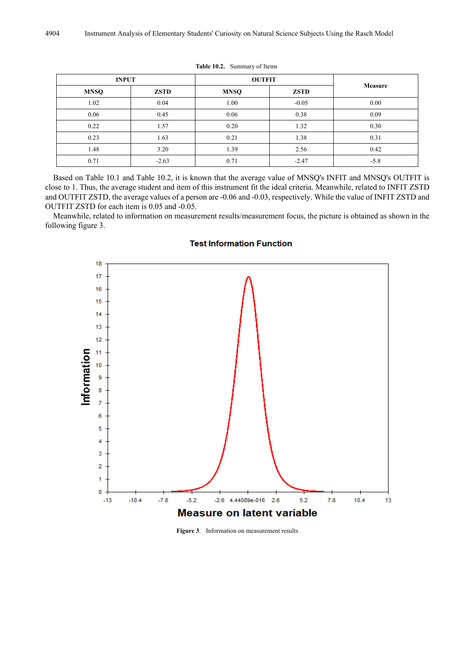| <b>INPUT</b> |             | <b>OUTFIT</b> |             |         |
|--------------|-------------|---------------|-------------|---------|
| <b>MNSQ</b>  | <b>ZSTD</b> | <b>MNSQ</b>   | <b>ZSTD</b> | Measure |
| 1.02         | 0.04        | 1.00          | $-0.05$     | 0.00    |
| 0.06         | 0.45        | 0.06          | 0.38        | 0.09    |
| 0.22         | 1.57        | 0.20          | 1.32        | 0.30    |
| 0.23         | 1.63        | 0.21          | 1.38        | 0.31    |
| 1.48         | 3.20        | 1.39          | 2.56        | 0.42    |
| 0.71         | $-2.63$     | 0.71          | $-2.47$     | $-5.8$  |

**Table 10.2.** Summary of Items

Based on Table 10.1 and Table 10.2, it is known that the average value of MNSQ's INFIT and MNSQ's OUTFIT is close to 1. Thus, the average student and item of this instrument fit the ideal criteria. Meanwhile, related to INFIT ZSTD and OUTFIT ZSTD, the average values of a person are -0.06 and -0.03, respectively. While the value of INFIT ZSTD and OUTFIT ZSTD for each item is 0.05 and -0.05.

Meanwhile, related to information on measurement results/measurement focus, the picture is obtained as shown in the following figure 3.



### **Test Information Function**

**Figure 3**. Information on measurement results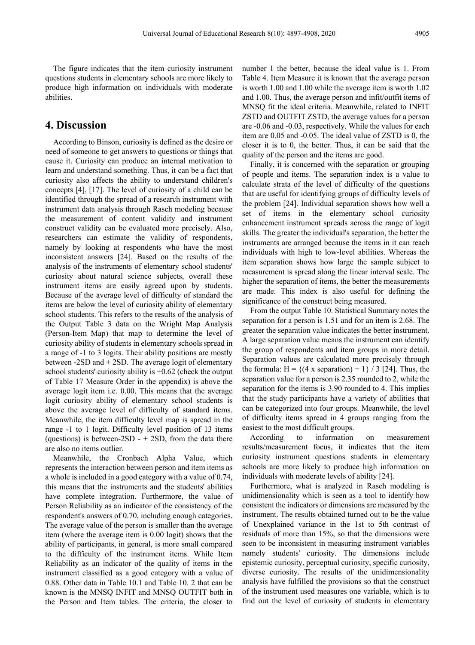The figure indicates that the item curiosity instrument questions students in elementary schools are more likely to produce high information on individuals with moderate abilities.

# **4. Discussion**

According to Binson, curiosity is defined as the desire or need of someone to get answers to questions or things that cause it. Curiosity can produce an internal motivation to learn and understand something. Thus, it can be a fact that curiosity also affects the ability to understand children's concepts [4], [17]. The level of curiosity of a child can be identified through the spread of a research instrument with instrument data analysis through Rasch modeling because the measurement of content validity and instrument construct validity can be evaluated more precisely. Also, researchers can estimate the validity of respondents, namely by looking at respondents who have the most inconsistent answers [24]. Based on the results of the analysis of the instruments of elementary school students' curiosity about natural science subjects, overall these instrument items are easily agreed upon by students. Because of the average level of difficulty of standard the items are below the level of curiosity ability of elementary school students. This refers to the results of the analysis of the Output Table 3 data on the Wright Map Analysis (Person-Item Map) that map to determine the level of curiosity ability of students in elementary schools spread in a range of -1 to 3 logits. Their ability positions are mostly between -2SD and + 2SD. The average logit of elementary school students' curiosity ability is  $+0.62$  (check the output of Table 17 Measure Order in the appendix) is above the average logit item i.e. 0.00. This means that the average logit curiosity ability of elementary school students is above the average level of difficulty of standard items. Meanwhile, the item difficulty level map is spread in the range -1 to 1 logit. Difficulty level position of 13 items (questions) is between-2SD -  $+$  2SD, from the data there are also no items outlier.

Meanwhile, the Cronbach Alpha Value, which represents the interaction between person and item items as a whole is included in a good category with a value of 0.74, this means that the instruments and the students' abilities have complete integration. Furthermore, the value of Person Reliability as an indicator of the consistency of the respondent's answers of 0.70, including enough categories. The average value of the person is smaller than the average item (where the average item is 0.00 logit) shows that the ability of participants, in general, is more small compared to the difficulty of the instrument items. While Item Reliability as an indicator of the quality of items in the instrument classified as a good category with a value of 0.88. Other data in Table 10.1 and Table 10. 2 that can be known is the MNSQ INFIT and MNSQ OUTFIT both in the Person and Item tables. The criteria, the closer to

number 1 the better, because the ideal value is 1. From Table 4. Item Measure it is known that the average person is worth 1.00 and 1.00 while the average item is worth 1.02 and 1.00. Thus, the average person and infit/outfit items of MNSQ fit the ideal criteria. Meanwhile, related to INFIT ZSTD and OUTFIT ZSTD, the average values for a person are -0.06 and -0.03, respectively. While the values for each item are 0.05 and -0.05. The ideal value of ZSTD is 0, the closer it is to 0, the better. Thus, it can be said that the quality of the person and the items are good.

Finally, it is concerned with the separation or grouping of people and items. The separation index is a value to calculate strata of the level of difficulty of the questions that are useful for identifying groups of difficulty levels of the problem [24]. Individual separation shows how well a set of items in the elementary school curiosity enhancement instrument spreads across the range of logit skills. The greater the individual's separation, the better the instruments are arranged because the items in it can reach individuals with high to low-level abilities. Whereas the item separation shows how large the sample subject to measurement is spread along the linear interval scale. The higher the separation of items, the better the measurements are made. This index is also useful for defining the significance of the construct being measured.

From the output Table 10. Statistical Summary notes the separation for a person is 1.51 and for an item is 2.68. The greater the separation value indicates the better instrument. A large separation value means the instrument can identify the group of respondents and item groups in more detail. Separation values are calculated more precisely through the formula:  $H = \{(4 \times \text{separation}) + 1\} / 3$  [24]. Thus, the separation value for a person is 2.35 rounded to 2, while the separation for the items is 3.90 rounded to 4. This implies that the study participants have a variety of abilities that can be categorized into four groups. Meanwhile, the level of difficulty items spread in 4 groups ranging from the easiest to the most difficult groups.

According to information on measurement results/measurement focus, it indicates that the item curiosity instrument questions students in elementary schools are more likely to produce high information on individuals with moderate levels of ability [24].

Furthermore, what is analyzed in Rasch modeling is unidimensionality which is seen as a tool to identify how consistent the indicators or dimensions are measured by the instrument. The results obtained turned out to be the value of Unexplained variance in the 1st to 5th contrast of residuals of more than 15%, so that the dimensions were seen to be inconsistent in measuring instrument variables namely students' curiosity. The dimensions include epistemic curiosity, perceptual curiosity, specific curiosity, diverse curiosity. The results of the unidimensionality analysis have fulfilled the provisions so that the construct of the instrument used measures one variable, which is to find out the level of curiosity of students in elementary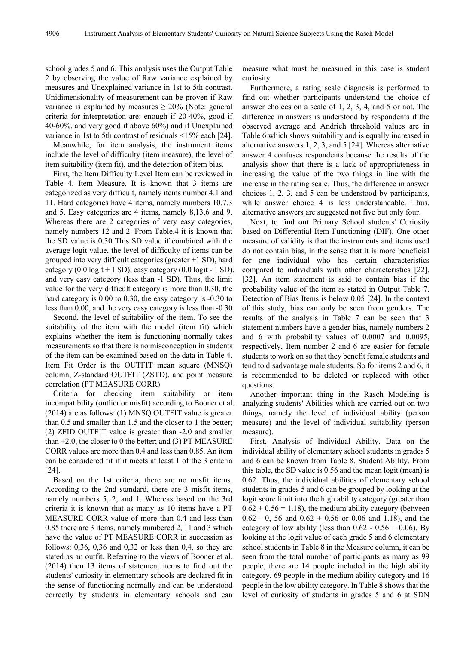school grades 5 and 6. This analysis uses the Output Table 2 by observing the value of Raw variance explained by measures and Unexplained variance in 1st to 5th contrast. Unidimensionality of measurement can be proven if Raw variance is explained by measures  $\geq 20\%$  (Note: general criteria for interpretation are: enough if 20-40%, good if 40-60%, and very good if above 60%) and if Unexplained variance in 1st to 5th contrast of residuals <15% each [24].

Meanwhile, for item analysis, the instrument items include the level of difficulty (item measure), the level of item suitability (item fit), and the detection of item bias.

First, the Item Difficulty Level Item can be reviewed in Table 4. Item Measure. It is known that 3 items are categorized as very difficult, namely items number 4.1 and 11. Hard categories have 4 items, namely numbers 10.7.3 and 5. Easy categories are 4 items, namely 8,13,6 and 9. Whereas there are 2 categories of very easy categories, namely numbers 12 and 2. From Table.4 it is known that the SD value is 0.30 This SD value if combined with the average logit value, the level of difficulty of items can be grouped into very difficult categories (greater +1 SD), hard category  $(0.0 \text{ logit} + 1 \text{ SD})$ , easy category  $(0.0 \text{ logit} - 1 \text{ SD})$ , and very easy category (less than -1 SD). Thus, the limit value for the very difficult category is more than 0.30, the hard category is 0.00 to 0.30, the easy category is  $-0.30$  to less than 0.00, and the very easy category is less than -0 30

Second, the level of suitability of the item. To see the suitability of the item with the model (item fit) which explains whether the item is functioning normally takes measurements so that there is no misconception in students of the item can be examined based on the data in Table 4. Item Fit Order is the OUTFIT mean square (MNSQ) column, Z-standard OUTFIT (ZSTD), and point measure correlation (PT MEASURE CORR).

Criteria for checking item suitability or item incompatibility (outlier or misfit) according to Booner et al. (2014) are as follows: (1) MNSQ OUTFIT value is greater than 0.5 and smaller than 1.5 and the closer to 1 the better; (2) ZFID OUTFIT value is greater than -2.0 and smaller than +2.0, the closer to 0 the better; and (3) PT MEASURE CORR values are more than 0.4 and less than 0.85. An item can be considered fit if it meets at least 1 of the 3 criteria [24].

Based on the 1st criteria, there are no misfit items. According to the 2nd standard, there are 3 misfit items, namely numbers 5, 2, and 1. Whereas based on the 3rd criteria it is known that as many as 10 items have a PT MEASURE CORR value of more than 0.4 and less than 0.85 there are 3 items, namely numbered 2, 11 and 3 which have the value of PT MEASURE CORR in succession as follows: 0,36, 0,36 and 0,32 or less than 0,4, so they are stated as an outfit. Referring to the views of Booner et al. (2014) then 13 items of statement items to find out the students' curiosity in elementary schools are declared fit in the sense of functioning normally and can be understood correctly by students in elementary schools and can

measure what must be measured in this case is student curiosity.

Furthermore, a rating scale diagnosis is performed to find out whether participants understand the choice of answer choices on a scale of 1, 2, 3, 4, and 5 or not. The difference in answers is understood by respondents if the observed average and Andrich threshold values are in Table 6 which shows suitability and is equally increased in alternative answers 1, 2, 3, and 5 [24]. Whereas alternative answer 4 confuses respondents because the results of the analysis show that there is a lack of appropriateness in increasing the value of the two things in line with the increase in the rating scale. Thus, the difference in answer choices 1, 2, 3, and 5 can be understood by participants, while answer choice 4 is less understandable. Thus, alternative answers are suggested not five but only four.

Next, to find out Primary School students' Curiosity based on Differential Item Functioning (DIF). One other measure of validity is that the instruments and items used do not contain bias, in the sense that it is more beneficial for one individual who has certain characteristics compared to individuals with other characteristics [22], [32]. An item statement is said to contain bias if the probability value of the item as stated in Output Table 7. Detection of Bias Items is below 0.05 [24]. In the context of this study, bias can only be seen from genders. The results of the analysis in Table 7 can be seen that 3 statement numbers have a gender bias, namely numbers 2 and 6 with probability values of 0.0007 and 0.0095, respectively. Item number 2 and 6 are easier for female students to work on so that they benefit female students and tend to disadvantage male students. So for items 2 and 6, it is recommended to be deleted or replaced with other questions.

Another important thing in the Rasch Modeling is analyzing students' Abilities which are carried out on two things, namely the level of individual ability (person measure) and the level of individual suitability (person measure).

First, Analysis of Individual Ability. Data on the individual ability of elementary school students in grades 5 and 6 can be known from Table 8. Student Ability. From this table, the SD value is 0.56 and the mean logit (mean) is 0.62. Thus, the individual abilities of elementary school students in grades 5 and 6 can be grouped by looking at the logit score limit into the high ability category (greater than  $0.62 + 0.56 = 1.18$ ), the medium ability category (between  $0.62 - 0$ , 56 and  $0.62 + 0.56$  or 0.06 and 1.18), and the category of low ability (less than  $0.62 - 0.56 = 0.06$ ). By looking at the logit value of each grade 5 and 6 elementary school students in Table 8 in the Measure column, it can be seen from the total number of participants as many as 99 people, there are 14 people included in the high ability category, 69 people in the medium ability category and 16 people in the low ability category. In Table 8 shows that the level of curiosity of students in grades 5 and 6 at SDN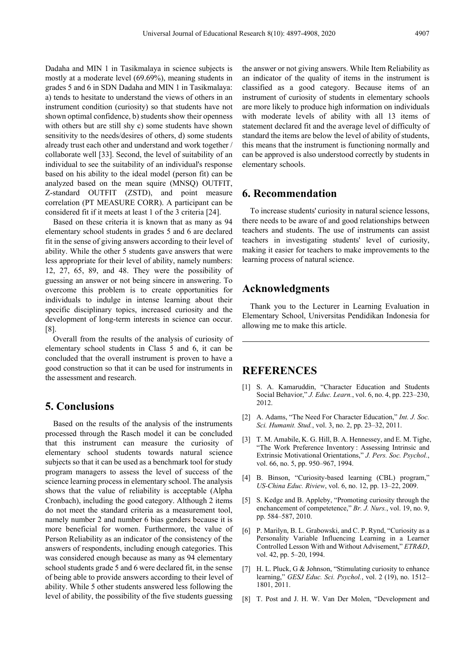Dadaha and MIN 1 in Tasikmalaya in science subjects is mostly at a moderate level (69.69%), meaning students in grades 5 and 6 in SDN Dadaha and MIN 1 in Tasikmalaya: a) tends to hesitate to understand the views of others in an instrument condition (curiosity) so that students have not shown optimal confidence, b) students show their openness with others but are still shy c) some students have shown sensitivity to the needs/desires of others, d) some students already trust each other and understand and work together / collaborate well [33]. Second, the level of suitability of an individual to see the suitability of an individual's response based on his ability to the ideal model (person fit) can be analyzed based on the mean squire (MNSQ) OUTFIT, Z-standard OUTFIT (ZSTD), and point measure correlation (PT MEASURE CORR). A participant can be considered fit if it meets at least 1 of the 3 criteria [24].

Based on these criteria it is known that as many as 94 elementary school students in grades 5 and 6 are declared fit in the sense of giving answers according to their level of ability. While the other 5 students gave answers that were less appropriate for their level of ability, namely numbers: 12, 27, 65, 89, and 48. They were the possibility of guessing an answer or not being sincere in answering. To overcome this problem is to create opportunities for individuals to indulge in intense learning about their specific disciplinary topics, increased curiosity and the development of long-term interests in science can occur. [8].

Overall from the results of the analysis of curiosity of elementary school students in Class 5 and 6, it can be concluded that the overall instrument is proven to have a good construction so that it can be used for instruments in the assessment and research.

# **5. Conclusions**

Based on the results of the analysis of the instruments processed through the Rasch model it can be concluded that this instrument can measure the curiosity of elementary school students towards natural science subjects so that it can be used as a benchmark tool for study program managers to assess the level of success of the science learning process in elementary school. The analysis shows that the value of reliability is acceptable (Alpha Cronbach), including the good category. Although 2 items do not meet the standard criteria as a measurement tool, namely number 2 and number 6 bias genders because it is more beneficial for women. Furthermore, the value of Person Reliability as an indicator of the consistency of the answers of respondents, including enough categories. This was considered enough because as many as 94 elementary school students grade 5 and 6 were declared fit, in the sense of being able to provide answers according to their level of ability. While 5 other students answered less following the level of ability, the possibility of the five students guessing

the answer or not giving answers. While Item Reliability as an indicator of the quality of items in the instrument is classified as a good category. Because items of an instrument of curiosity of students in elementary schools are more likely to produce high information on individuals with moderate levels of ability with all 13 items of statement declared fit and the average level of difficulty of standard the items are below the level of ability of students, this means that the instrument is functioning normally and can be approved is also understood correctly by students in elementary schools.

# **6. Recommendation**

To increase students' curiosity in natural science lessons, there needs to be aware of and good relationships between teachers and students. The use of instruments can assist teachers in investigating students' level of curiosity, making it easier for teachers to make improvements to the learning process of natural science.

# **Acknowledgments**

Thank you to the Lecturer in Learning Evaluation in Elementary School, Universitas Pendidikan Indonesia for allowing me to make this article.

# **REFERENCES**

- [1] S. A. Kamaruddin, "Character Education and Students Social Behavior," *J. Educ. Learn.*, vol. 6, no. 4, pp. 223–230, 2012.
- [2] A. Adams, "The Need For Character Education," *Int. J. Soc. Sci. Humanit. Stud.*, vol. 3, no. 2, pp. 23–32, 2011.
- [3] T. M. Amabile, K. G. Hill, B. A. Hennessey, and E. M. Tighe, "The Work Preference Inventory : Assessing Intrinsic and Extrinsic Motivational Orientations," *J. Pers. Soc. Psychol.*, vol. 66, no. 5, pp. 950–967, 1994.
- [4] B. Binson, "Curiosity-based learning (CBL) program," *US-China Educ. Riview*, vol. 6, no. 12, pp. 13–22, 2009.
- [5] S. Kedge and B. Appleby, "Promoting curiosity through the enchancement of competetence," *Br. J. Nurs.*, vol. 19, no. 9, pp. 584–587, 2010.
- [6] P. Marilyn, B. L. Grabowski, and C. P. Rynd, "Curiosity as a Personality Variable Influencing Learning in a Learner Controlled Lesson With and Without Advisement," *ETR&D*, vol. 42, pp. 5–20, 1994.
- [7] H. L. Pluck, G & Johnson, "Stimulating curiosity to enhance learning," *GESJ Educ. Sci. Psychol.*, vol. 2 (19), no. 1512– 1801, 2011.
- [8] T. Post and J. H. W. Van Der Molen, "Development and